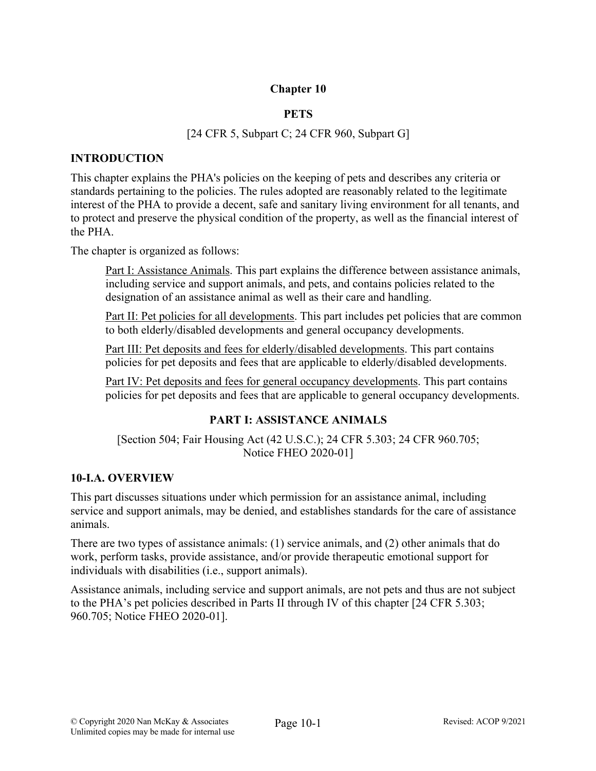# **Chapter 10**

# **PETS**

# [24 CFR 5, Subpart C; 24 CFR 960, Subpart G]

## **INTRODUCTION**

This chapter explains the PHA's policies on the keeping of pets and describes any criteria or standards pertaining to the policies. The rules adopted are reasonably related to the legitimate interest of the PHA to provide a decent, safe and sanitary living environment for all tenants, and to protect and preserve the physical condition of the property, as well as the financial interest of the PHA.

The chapter is organized as follows:

Part I: Assistance Animals. This part explains the difference between assistance animals, including service and support animals, and pets, and contains policies related to the designation of an assistance animal as well as their care and handling.

Part II: Pet policies for all developments. This part includes pet policies that are common to both elderly/disabled developments and general occupancy developments.

Part III: Pet deposits and fees for elderly/disabled developments. This part contains policies for pet deposits and fees that are applicable to elderly/disabled developments.

Part IV: Pet deposits and fees for general occupancy developments. This part contains policies for pet deposits and fees that are applicable to general occupancy developments.

# **PART I: ASSISTANCE ANIMALS**

[Section 504; Fair Housing Act (42 U.S.C.); 24 CFR 5.303; 24 CFR 960.705; Notice FHEO 2020-01]

# **10-I.A. OVERVIEW**

This part discusses situations under which permission for an assistance animal, including service and support animals, may be denied, and establishes standards for the care of assistance animals.

There are two types of assistance animals: (1) service animals, and (2) other animals that do work, perform tasks, provide assistance, and/or provide therapeutic emotional support for individuals with disabilities (i.e., support animals).

Assistance animals, including service and support animals, are not pets and thus are not subject to the PHA's pet policies described in Parts II through IV of this chapter [24 CFR 5.303; 960.705; Notice FHEO 2020-01].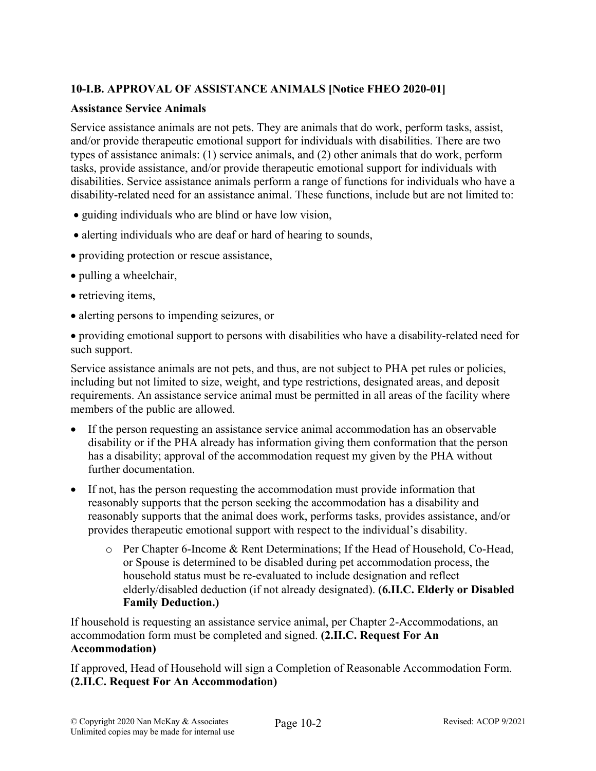# **10-I.B. APPROVAL OF ASSISTANCE ANIMALS [Notice FHEO 2020-01]**

### **Assistance Service Animals**

Service assistance animals are not pets. They are animals that do work, perform tasks, assist, and/or provide therapeutic emotional support for individuals with disabilities. There are two types of assistance animals: (1) service animals, and (2) other animals that do work, perform tasks, provide assistance, and/or provide therapeutic emotional support for individuals with disabilities. Service assistance animals perform a range of functions for individuals who have a disability-related need for an assistance animal. These functions, include but are not limited to:

- guiding individuals who are blind or have low vision,
- alerting individuals who are deaf or hard of hearing to sounds,
- providing protection or rescue assistance,
- pulling a wheelchair,
- retrieving items,
- alerting persons to impending seizures, or

• providing emotional support to persons with disabilities who have a disability-related need for such support.

Service assistance animals are not pets, and thus, are not subject to PHA pet rules or policies, including but not limited to size, weight, and type restrictions, designated areas, and deposit requirements. An assistance service animal must be permitted in all areas of the facility where members of the public are allowed.

- If the person requesting an assistance service animal accommodation has an observable disability or if the PHA already has information giving them conformation that the person has a disability; approval of the accommodation request my given by the PHA without further documentation.
- If not, has the person requesting the accommodation must provide information that reasonably supports that the person seeking the accommodation has a disability and reasonably supports that the animal does work, performs tasks, provides assistance, and/or provides therapeutic emotional support with respect to the individual's disability.
	- o Per Chapter 6-Income & Rent Determinations; If the Head of Household, Co-Head, or Spouse is determined to be disabled during pet accommodation process, the household status must be re-evaluated to include designation and reflect elderly/disabled deduction (if not already designated). **(6.II.C. Elderly or Disabled Family Deduction.)**

If household is requesting an assistance service animal, per Chapter 2-Accommodations, an accommodation form must be completed and signed. **(2.II.C. Request For An Accommodation)**

If approved, Head of Household will sign a Completion of Reasonable Accommodation Form. **(2.II.C. Request For An Accommodation)**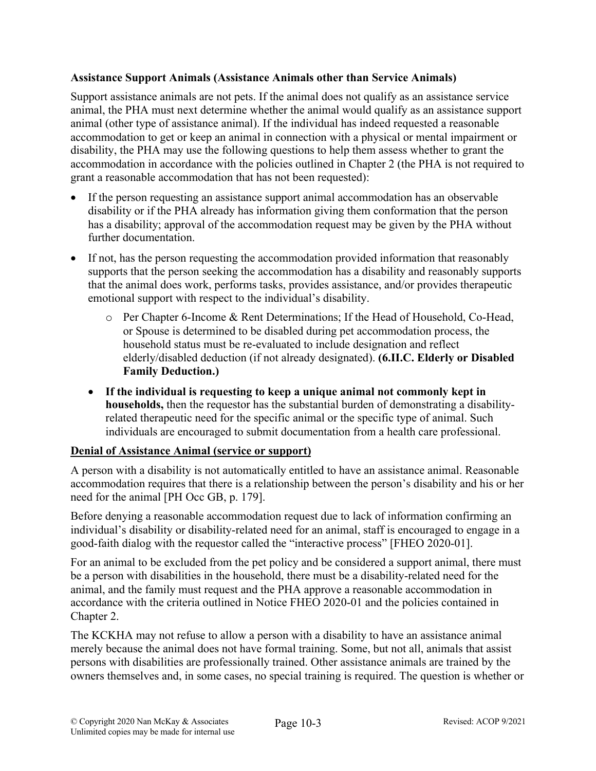# **Assistance Support Animals (Assistance Animals other than Service Animals)**

Support assistance animals are not pets. If the animal does not qualify as an assistance service animal, the PHA must next determine whether the animal would qualify as an assistance support animal (other type of assistance animal). If the individual has indeed requested a reasonable accommodation to get or keep an animal in connection with a physical or mental impairment or disability, the PHA may use the following questions to help them assess whether to grant the accommodation in accordance with the policies outlined in Chapter 2 (the PHA is not required to grant a reasonable accommodation that has not been requested):

- If the person requesting an assistance support animal accommodation has an observable disability or if the PHA already has information giving them conformation that the person has a disability; approval of the accommodation request may be given by the PHA without further documentation.
- If not, has the person requesting the accommodation provided information that reasonably supports that the person seeking the accommodation has a disability and reasonably supports that the animal does work, performs tasks, provides assistance, and/or provides therapeutic emotional support with respect to the individual's disability.
	- o Per Chapter 6-Income & Rent Determinations; If the Head of Household, Co-Head, or Spouse is determined to be disabled during pet accommodation process, the household status must be re-evaluated to include designation and reflect elderly/disabled deduction (if not already designated). **(6.II.C. Elderly or Disabled Family Deduction.)**
	- **If the individual is requesting to keep a unique animal not commonly kept in households,** then the requestor has the substantial burden of demonstrating a disabilityrelated therapeutic need for the specific animal or the specific type of animal. Such individuals are encouraged to submit documentation from a health care professional.

#### **Denial of Assistance Animal (service or support)**

A person with a disability is not automatically entitled to have an assistance animal. Reasonable accommodation requires that there is a relationship between the person's disability and his or her need for the animal [PH Occ GB, p. 179].

Before denying a reasonable accommodation request due to lack of information confirming an individual's disability or disability-related need for an animal, staff is encouraged to engage in a good-faith dialog with the requestor called the "interactive process" [FHEO 2020-01].

For an animal to be excluded from the pet policy and be considered a support animal, there must be a person with disabilities in the household, there must be a disability-related need for the animal, and the family must request and the PHA approve a reasonable accommodation in accordance with the criteria outlined in Notice FHEO 2020-01 and the policies contained in Chapter 2.

The KCKHA may not refuse to allow a person with a disability to have an assistance animal merely because the animal does not have formal training. Some, but not all, animals that assist persons with disabilities are professionally trained. Other assistance animals are trained by the owners themselves and, in some cases, no special training is required. The question is whether or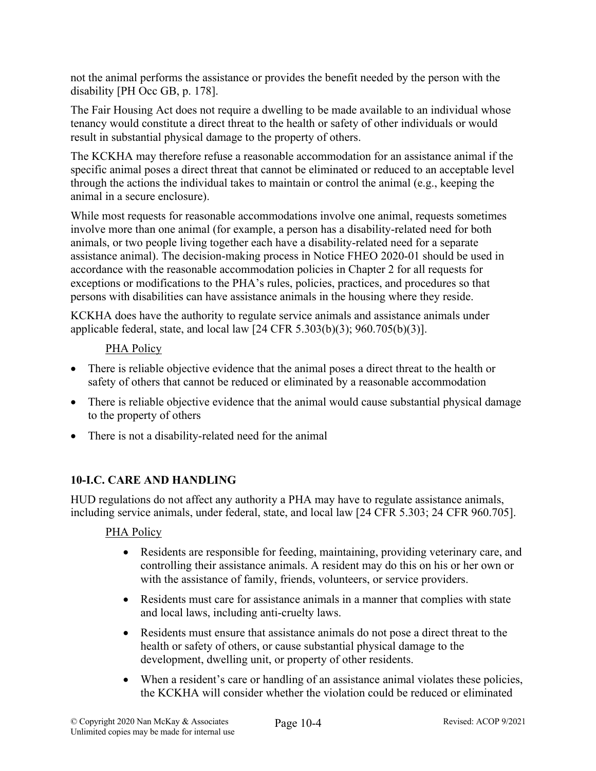not the animal performs the assistance or provides the benefit needed by the person with the disability [PH Occ GB, p. 178].

The Fair Housing Act does not require a dwelling to be made available to an individual whose tenancy would constitute a direct threat to the health or safety of other individuals or would result in substantial physical damage to the property of others.

The KCKHA may therefore refuse a reasonable accommodation for an assistance animal if the specific animal poses a direct threat that cannot be eliminated or reduced to an acceptable level through the actions the individual takes to maintain or control the animal (e.g., keeping the animal in a secure enclosure).

While most requests for reasonable accommodations involve one animal, requests sometimes involve more than one animal (for example, a person has a disability-related need for both animals, or two people living together each have a disability-related need for a separate assistance animal). The decision-making process in Notice FHEO 2020-01 should be used in accordance with the reasonable accommodation policies in Chapter 2 for all requests for exceptions or modifications to the PHA's rules, policies, practices, and procedures so that persons with disabilities can have assistance animals in the housing where they reside.

KCKHA does have the authority to regulate service animals and assistance animals under applicable federal, state, and local law [24 CFR 5.303(b)(3); 960.705(b)(3)].

# PHA Policy

- There is reliable objective evidence that the animal poses a direct threat to the health or safety of others that cannot be reduced or eliminated by a reasonable accommodation
- There is reliable objective evidence that the animal would cause substantial physical damage to the property of others
- There is not a disability-related need for the animal

# **10-I.C. CARE AND HANDLING**

HUD regulations do not affect any authority a PHA may have to regulate assistance animals, including service animals, under federal, state, and local law [24 CFR 5.303; 24 CFR 960.705].

# PHA Policy

- Residents are responsible for feeding, maintaining, providing veterinary care, and controlling their assistance animals. A resident may do this on his or her own or with the assistance of family, friends, volunteers, or service providers.
- Residents must care for assistance animals in a manner that complies with state and local laws, including anti-cruelty laws.
- Residents must ensure that assistance animals do not pose a direct threat to the health or safety of others, or cause substantial physical damage to the development, dwelling unit, or property of other residents.
- When a resident's care or handling of an assistance animal violates these policies, the KCKHA will consider whether the violation could be reduced or eliminated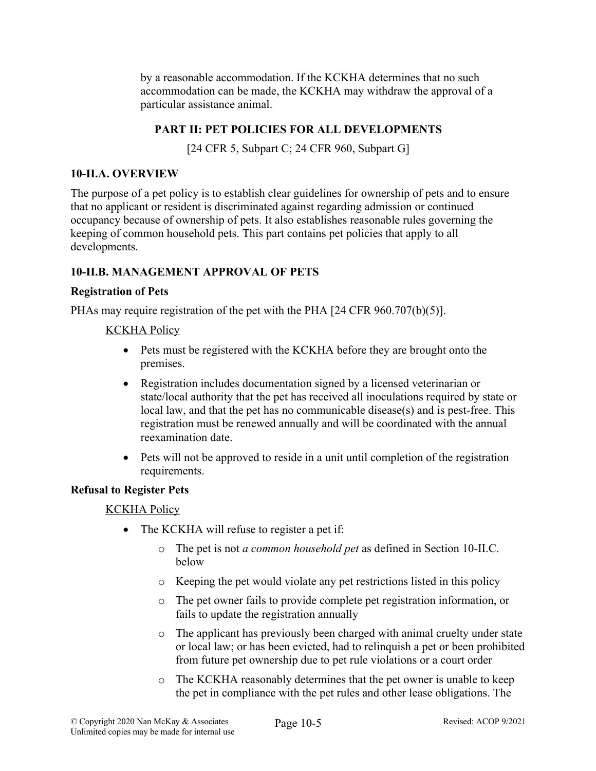by a reasonable accommodation. If the KCKHA determines that no such accommodation can be made, the KCKHA may withdraw the approval of a particular assistance animal.

# **PART II: PET POLICIES FOR ALL DEVELOPMENTS**

[24 CFR 5, Subpart C; 24 CFR 960, Subpart G]

### **10-II.A. OVERVIEW**

The purpose of a pet policy is to establish clear guidelines for ownership of pets and to ensure that no applicant or resident is discriminated against regarding admission or continued occupancy because of ownership of pets. It also establishes reasonable rules governing the keeping of common household pets. This part contains pet policies that apply to all developments.

# **10-II.B. MANAGEMENT APPROVAL OF PETS**

### **Registration of Pets**

PHAs may require registration of the pet with the PHA [24 CFR 960.707(b)(5)].

### KCKHA Policy

- Pets must be registered with the KCKHA before they are brought onto the premises.
- Registration includes documentation signed by a licensed veterinarian or state/local authority that the pet has received all inoculations required by state or local law, and that the pet has no communicable disease(s) and is pest-free. This registration must be renewed annually and will be coordinated with the annual reexamination date.
- Pets will not be approved to reside in a unit until completion of the registration requirements.

# **Refusal to Register Pets**

- The KCKHA will refuse to register a pet if:
	- o The pet is not *a common household pet* as defined in Section 10-II.C. below
	- o Keeping the pet would violate any pet restrictions listed in this policy
	- o The pet owner fails to provide complete pet registration information, or fails to update the registration annually
	- o The applicant has previously been charged with animal cruelty under state or local law; or has been evicted, had to relinquish a pet or been prohibited from future pet ownership due to pet rule violations or a court order
	- o The KCKHA reasonably determines that the pet owner is unable to keep the pet in compliance with the pet rules and other lease obligations. The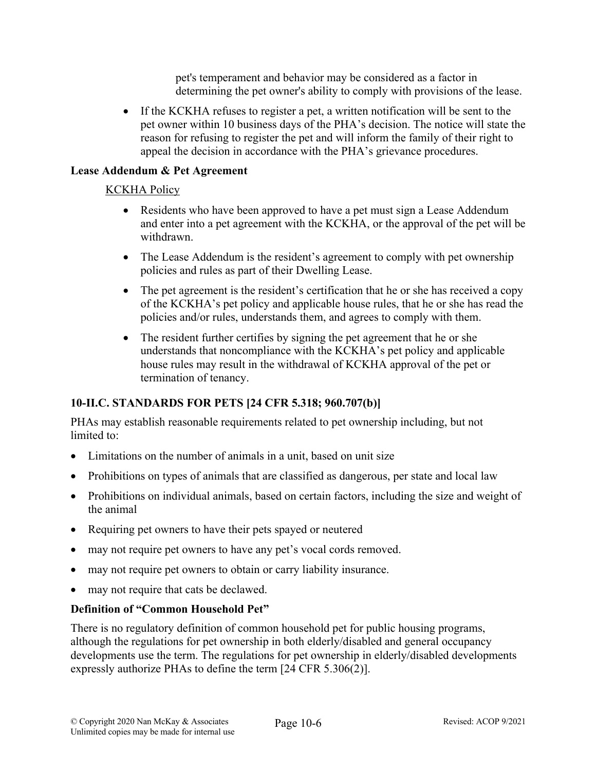pet's temperament and behavior may be considered as a factor in determining the pet owner's ability to comply with provisions of the lease.

• If the KCKHA refuses to register a pet, a written notification will be sent to the pet owner within 10 business days of the PHA's decision. The notice will state the reason for refusing to register the pet and will inform the family of their right to appeal the decision in accordance with the PHA's grievance procedures.

## **Lease Addendum & Pet Agreement**

### KCKHA Policy

- Residents who have been approved to have a pet must sign a Lease Addendum and enter into a pet agreement with the KCKHA, or the approval of the pet will be withdrawn.
- The Lease Addendum is the resident's agreement to comply with pet ownership policies and rules as part of their Dwelling Lease.
- The pet agreement is the resident's certification that he or she has received a copy of the KCKHA's pet policy and applicable house rules, that he or she has read the policies and/or rules, understands them, and agrees to comply with them.
- The resident further certifies by signing the pet agreement that he or she understands that noncompliance with the KCKHA's pet policy and applicable house rules may result in the withdrawal of KCKHA approval of the pet or termination of tenancy.

# **10-II.C. STANDARDS FOR PETS [24 CFR 5.318; 960.707(b)]**

PHAs may establish reasonable requirements related to pet ownership including, but not limited to:

- Limitations on the number of animals in a unit, based on unit size
- Prohibitions on types of animals that are classified as dangerous, per state and local law
- Prohibitions on individual animals, based on certain factors, including the size and weight of the animal
- Requiring pet owners to have their pets spayed or neutered
- may not require pet owners to have any pet's vocal cords removed.
- may not require pet owners to obtain or carry liability insurance.
- may not require that cats be declawed.

# **Definition of "Common Household Pet"**

There is no regulatory definition of common household pet for public housing programs, although the regulations for pet ownership in both elderly/disabled and general occupancy developments use the term. The regulations for pet ownership in elderly/disabled developments expressly authorize PHAs to define the term [24 CFR 5.306(2)].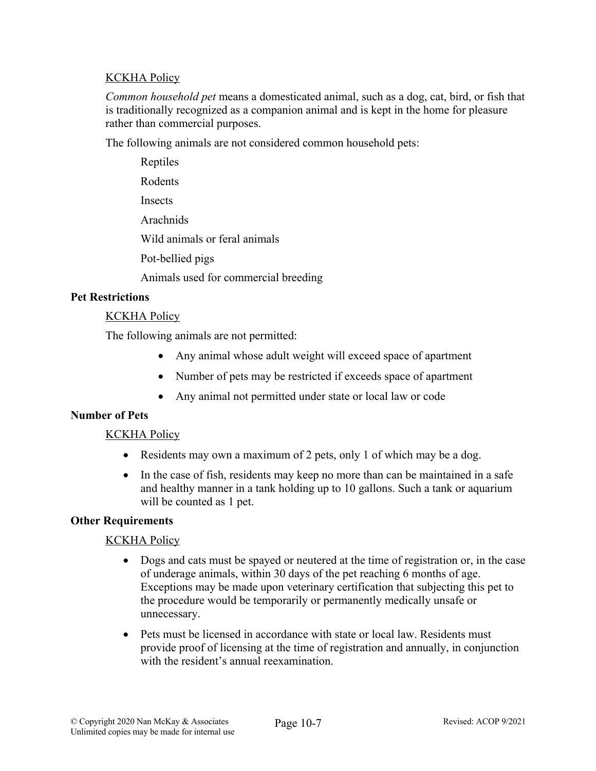# **KCKHA Policy**

*Common household pet* means a domesticated animal, such as a dog, cat, bird, or fish that is traditionally recognized as a companion animal and is kept in the home for pleasure rather than commercial purposes.

The following animals are not considered common household pets:

Reptiles Rodents **Insects** Arachnids Wild animals or feral animals Pot-bellied pigs Animals used for commercial breeding

### **Pet Restrictions**

### KCKHA Policy

The following animals are not permitted:

- Any animal whose adult weight will exceed space of apartment
- Number of pets may be restricted if exceeds space of apartment
- Any animal not permitted under state or local law or code

#### **Number of Pets**

# KCKHA Policy

- Residents may own a maximum of 2 pets, only 1 of which may be a dog.
- In the case of fish, residents may keep no more than can be maintained in a safe and healthy manner in a tank holding up to 10 gallons. Such a tank or aquarium will be counted as 1 pet.

#### **Other Requirements**

- Dogs and cats must be spayed or neutered at the time of registration or, in the case of underage animals, within 30 days of the pet reaching 6 months of age. Exceptions may be made upon veterinary certification that subjecting this pet to the procedure would be temporarily or permanently medically unsafe or unnecessary.
- Pets must be licensed in accordance with state or local law. Residents must provide proof of licensing at the time of registration and annually, in conjunction with the resident's annual reexamination.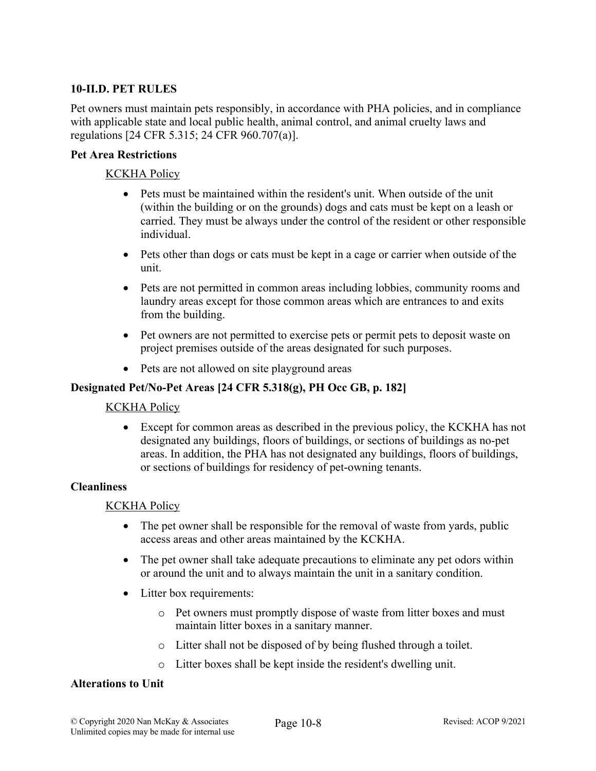### **10-II.D. PET RULES**

Pet owners must maintain pets responsibly, in accordance with PHA policies, and in compliance with applicable state and local public health, animal control, and animal cruelty laws and regulations [24 CFR 5.315; 24 CFR 960.707(a)].

### **Pet Area Restrictions**

### KCKHA Policy

- Pets must be maintained within the resident's unit. When outside of the unit (within the building or on the grounds) dogs and cats must be kept on a leash or carried. They must be always under the control of the resident or other responsible individual.
- Pets other than dogs or cats must be kept in a cage or carrier when outside of the unit.
- Pets are not permitted in common areas including lobbies, community rooms and laundry areas except for those common areas which are entrances to and exits from the building.
- Pet owners are not permitted to exercise pets or permit pets to deposit waste on project premises outside of the areas designated for such purposes.
- Pets are not allowed on site playground areas

# **Designated Pet/No-Pet Areas [24 CFR 5.318(g), PH Occ GB, p. 182]**

#### KCKHA Policy

• Except for common areas as described in the previous policy, the KCKHA has not designated any buildings, floors of buildings, or sections of buildings as no-pet areas. In addition, the PHA has not designated any buildings, floors of buildings, or sections of buildings for residency of pet-owning tenants.

#### **Cleanliness**

#### KCKHA Policy

- The pet owner shall be responsible for the removal of waste from yards, public access areas and other areas maintained by the KCKHA.
- The pet owner shall take adequate precautions to eliminate any pet odors within or around the unit and to always maintain the unit in a sanitary condition.
- Litter box requirements:
	- o Pet owners must promptly dispose of waste from litter boxes and must maintain litter boxes in a sanitary manner.
	- o Litter shall not be disposed of by being flushed through a toilet.
	- o Litter boxes shall be kept inside the resident's dwelling unit.

#### **Alterations to Unit**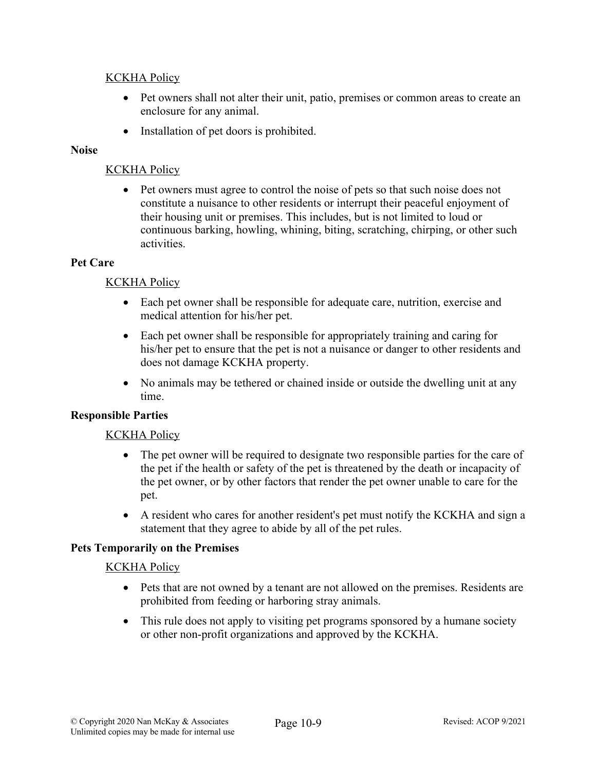## KCKHA Policy

- Pet owners shall not alter their unit, patio, premises or common areas to create an enclosure for any animal.
- Installation of pet doors is prohibited.

# **Noise**

### KCKHA Policy

• Pet owners must agree to control the noise of pets so that such noise does not constitute a nuisance to other residents or interrupt their peaceful enjoyment of their housing unit or premises. This includes, but is not limited to loud or continuous barking, howling, whining, biting, scratching, chirping, or other such activities.

#### **Pet Care**

### KCKHA Policy

- Each pet owner shall be responsible for adequate care, nutrition, exercise and medical attention for his/her pet.
- Each pet owner shall be responsible for appropriately training and caring for his/her pet to ensure that the pet is not a nuisance or danger to other residents and does not damage KCKHA property.
- No animals may be tethered or chained inside or outside the dwelling unit at any time.

#### **Responsible Parties**

#### KCKHA Policy

- The pet owner will be required to designate two responsible parties for the care of the pet if the health or safety of the pet is threatened by the death or incapacity of the pet owner, or by other factors that render the pet owner unable to care for the pet.
- A resident who cares for another resident's pet must notify the KCKHA and sign a statement that they agree to abide by all of the pet rules.

#### **Pets Temporarily on the Premises**

- Pets that are not owned by a tenant are not allowed on the premises. Residents are prohibited from feeding or harboring stray animals.
- This rule does not apply to visiting pet programs sponsored by a humane society or other non-profit organizations and approved by the KCKHA.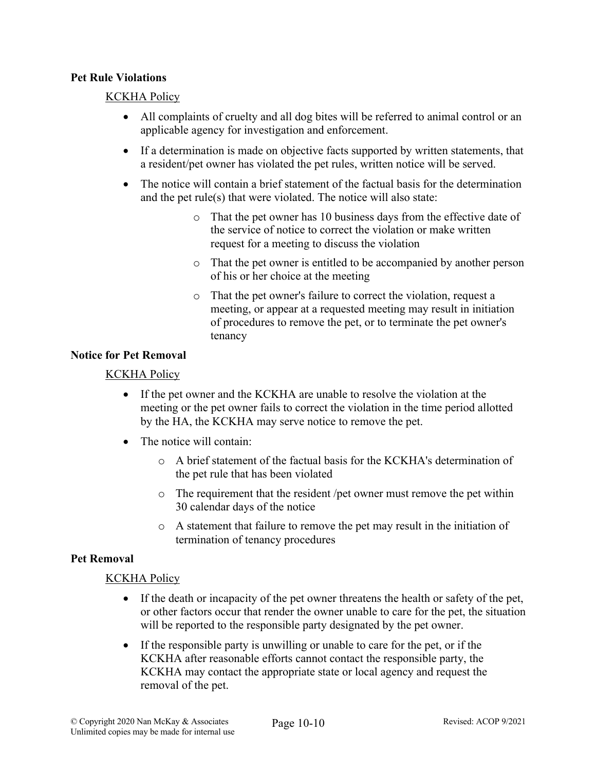#### **Pet Rule Violations**

#### KCKHA Policy

- All complaints of cruelty and all dog bites will be referred to animal control or an applicable agency for investigation and enforcement.
- If a determination is made on objective facts supported by written statements, that a resident/pet owner has violated the pet rules, written notice will be served.
- The notice will contain a brief statement of the factual basis for the determination and the pet rule(s) that were violated. The notice will also state:
	- o That the pet owner has 10 business days from the effective date of the service of notice to correct the violation or make written request for a meeting to discuss the violation
	- o That the pet owner is entitled to be accompanied by another person of his or her choice at the meeting
	- o That the pet owner's failure to correct the violation, request a meeting, or appear at a requested meeting may result in initiation of procedures to remove the pet, or to terminate the pet owner's tenancy

#### **Notice for Pet Removal**

#### KCKHA Policy

- If the pet owner and the KCKHA are unable to resolve the violation at the meeting or the pet owner fails to correct the violation in the time period allotted by the HA, the KCKHA may serve notice to remove the pet.
- The notice will contain:
	- o A brief statement of the factual basis for the KCKHA's determination of the pet rule that has been violated
	- o The requirement that the resident /pet owner must remove the pet within 30 calendar days of the notice
	- o A statement that failure to remove the pet may result in the initiation of termination of tenancy procedures

#### **Pet Removal**

- If the death or incapacity of the pet owner threatens the health or safety of the pet, or other factors occur that render the owner unable to care for the pet, the situation will be reported to the responsible party designated by the pet owner.
- If the responsible party is unwilling or unable to care for the pet, or if the KCKHA after reasonable efforts cannot contact the responsible party, the KCKHA may contact the appropriate state or local agency and request the removal of the pet.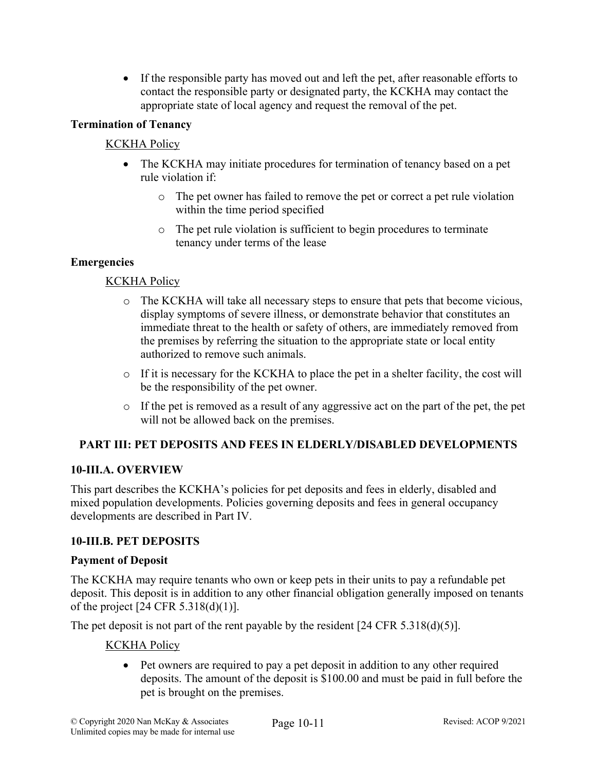• If the responsible party has moved out and left the pet, after reasonable efforts to contact the responsible party or designated party, the KCKHA may contact the appropriate state of local agency and request the removal of the pet.

# **Termination of Tenancy**

# KCKHA Policy

- The KCKHA may initiate procedures for termination of tenancy based on a pet rule violation if:
	- o The pet owner has failed to remove the pet or correct a pet rule violation within the time period specified
	- o The pet rule violation is sufficient to begin procedures to terminate tenancy under terms of the lease

# **Emergencies**

# KCKHA Policy

- o The KCKHA will take all necessary steps to ensure that pets that become vicious, display symptoms of severe illness, or demonstrate behavior that constitutes an immediate threat to the health or safety of others, are immediately removed from the premises by referring the situation to the appropriate state or local entity authorized to remove such animals.
- o If it is necessary for the KCKHA to place the pet in a shelter facility, the cost will be the responsibility of the pet owner.
- o If the pet is removed as a result of any aggressive act on the part of the pet, the pet will not be allowed back on the premises.

# **PART III: PET DEPOSITS AND FEES IN ELDERLY/DISABLED DEVELOPMENTS**

# **10-III.A. OVERVIEW**

This part describes the KCKHA's policies for pet deposits and fees in elderly, disabled and mixed population developments. Policies governing deposits and fees in general occupancy developments are described in Part IV.

# **10-III.B. PET DEPOSITS**

#### **Payment of Deposit**

The KCKHA may require tenants who own or keep pets in their units to pay a refundable pet deposit. This deposit is in addition to any other financial obligation generally imposed on tenants of the project [24 CFR 5.318(d)(1)].

The pet deposit is not part of the rent payable by the resident [24 CFR 5.318(d)(5)].

#### KCKHA Policy

• Pet owners are required to pay a pet deposit in addition to any other required deposits. The amount of the deposit is \$100.00 and must be paid in full before the pet is brought on the premises.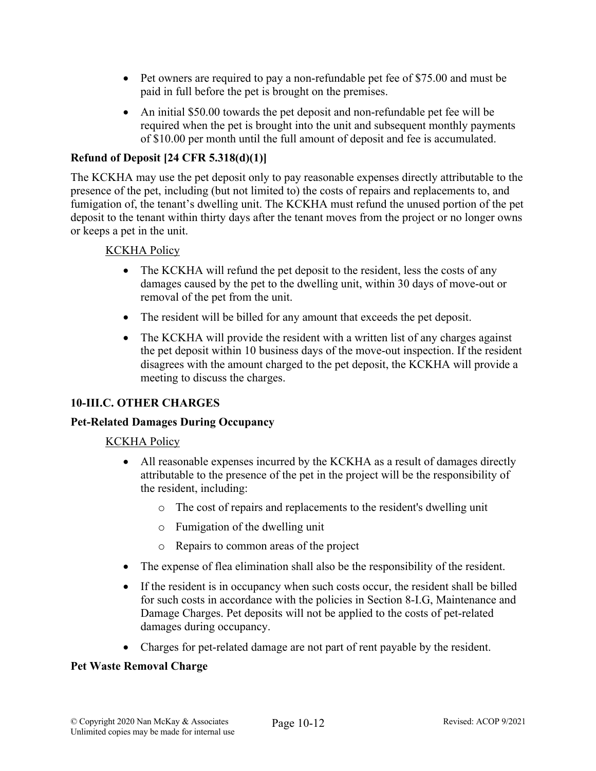- Pet owners are required to pay a non-refundable pet fee of \$75.00 and must be paid in full before the pet is brought on the premises.
- An initial \$50.00 towards the pet deposit and non-refundable pet fee will be required when the pet is brought into the unit and subsequent monthly payments of \$10.00 per month until the full amount of deposit and fee is accumulated.

## **Refund of Deposit [24 CFR 5.318(d)(1)]**

The KCKHA may use the pet deposit only to pay reasonable expenses directly attributable to the presence of the pet, including (but not limited to) the costs of repairs and replacements to, and fumigation of, the tenant's dwelling unit. The KCKHA must refund the unused portion of the pet deposit to the tenant within thirty days after the tenant moves from the project or no longer owns or keeps a pet in the unit.

#### KCKHA Policy

- The KCKHA will refund the pet deposit to the resident, less the costs of any damages caused by the pet to the dwelling unit, within 30 days of move-out or removal of the pet from the unit.
- The resident will be billed for any amount that exceeds the pet deposit.
- The KCKHA will provide the resident with a written list of any charges against the pet deposit within 10 business days of the move-out inspection. If the resident disagrees with the amount charged to the pet deposit, the KCKHA will provide a meeting to discuss the charges.

#### **10-III.C. OTHER CHARGES**

#### **Pet-Related Damages During Occupancy**

#### KCKHA Policy

- All reasonable expenses incurred by the KCKHA as a result of damages directly attributable to the presence of the pet in the project will be the responsibility of the resident, including:
	- o The cost of repairs and replacements to the resident's dwelling unit
	- o Fumigation of the dwelling unit
	- o Repairs to common areas of the project
- The expense of flea elimination shall also be the responsibility of the resident.
- If the resident is in occupancy when such costs occur, the resident shall be billed for such costs in accordance with the policies in Section 8-I.G, Maintenance and Damage Charges. Pet deposits will not be applied to the costs of pet-related damages during occupancy.
- Charges for pet-related damage are not part of rent payable by the resident.

#### **Pet Waste Removal Charge**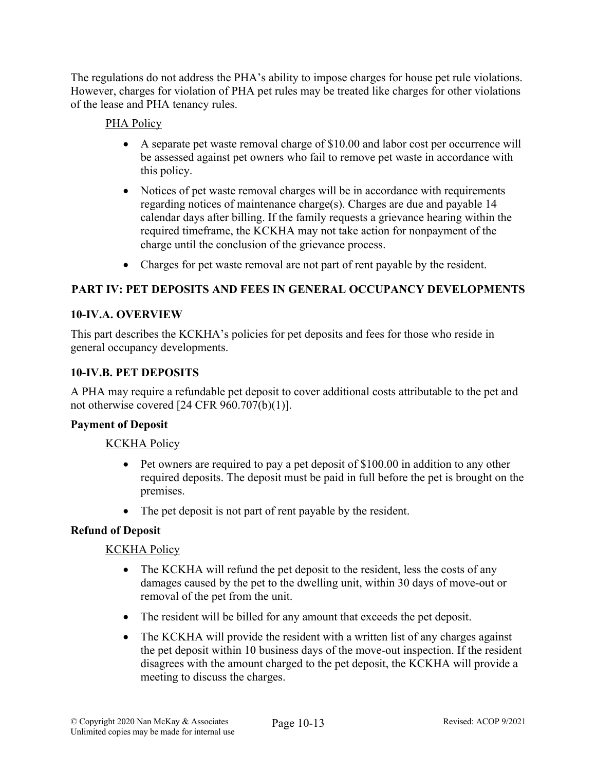The regulations do not address the PHA's ability to impose charges for house pet rule violations. However, charges for violation of PHA pet rules may be treated like charges for other violations of the lease and PHA tenancy rules.

# PHA Policy

- A separate pet waste removal charge of \$10.00 and labor cost per occurrence will be assessed against pet owners who fail to remove pet waste in accordance with this policy.
- Notices of pet waste removal charges will be in accordance with requirements regarding notices of maintenance charge(s). Charges are due and payable 14 calendar days after billing. If the family requests a grievance hearing within the required timeframe, the KCKHA may not take action for nonpayment of the charge until the conclusion of the grievance process.
- Charges for pet waste removal are not part of rent payable by the resident.

# **PART IV: PET DEPOSITS AND FEES IN GENERAL OCCUPANCY DEVELOPMENTS**

### **10-IV.A. OVERVIEW**

This part describes the KCKHA's policies for pet deposits and fees for those who reside in general occupancy developments.

### **10-IV.B. PET DEPOSITS**

A PHA may require a refundable pet deposit to cover additional costs attributable to the pet and not otherwise covered [24 CFR 960.707(b)(1)].

#### **Payment of Deposit**

#### KCKHA Policy

- Pet owners are required to pay a pet deposit of \$100.00 in addition to any other required deposits. The deposit must be paid in full before the pet is brought on the premises.
- The pet deposit is not part of rent payable by the resident.

#### **Refund of Deposit**

- The KCKHA will refund the pet deposit to the resident, less the costs of any damages caused by the pet to the dwelling unit, within 30 days of move-out or removal of the pet from the unit.
- The resident will be billed for any amount that exceeds the pet deposit.
- The KCKHA will provide the resident with a written list of any charges against the pet deposit within 10 business days of the move-out inspection. If the resident disagrees with the amount charged to the pet deposit, the KCKHA will provide a meeting to discuss the charges.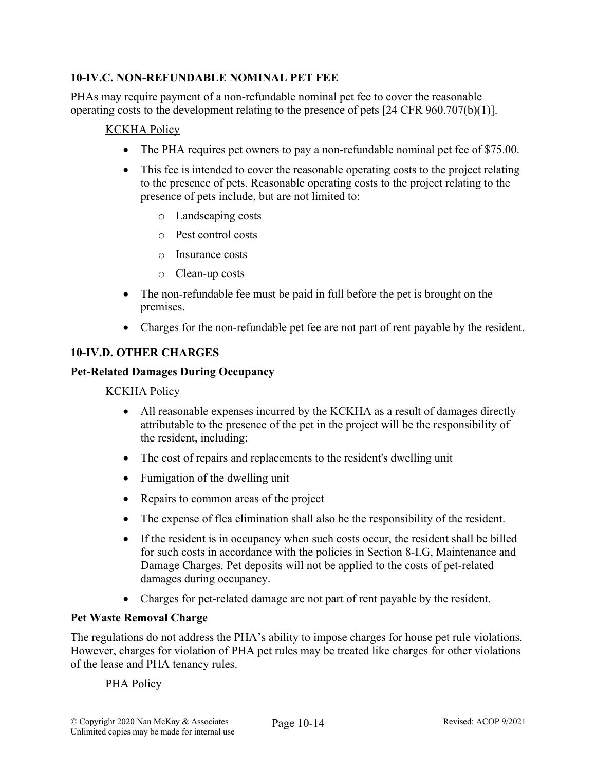# **10-IV.C. NON-REFUNDABLE NOMINAL PET FEE**

PHAs may require payment of a non-refundable nominal pet fee to cover the reasonable operating costs to the development relating to the presence of pets [24 CFR 960.707(b)(1)].

## KCKHA Policy

- The PHA requires pet owners to pay a non-refundable nominal pet fee of \$75.00.
- This fee is intended to cover the reasonable operating costs to the project relating to the presence of pets. Reasonable operating costs to the project relating to the presence of pets include, but are not limited to:
	- o Landscaping costs
	- o Pest control costs
	- o Insurance costs
	- o Clean-up costs
- The non-refundable fee must be paid in full before the pet is brought on the premises.
- Charges for the non-refundable pet fee are not part of rent payable by the resident.

# **10-IV.D. OTHER CHARGES**

#### **Pet-Related Damages During Occupancy**

#### KCKHA Policy

- All reasonable expenses incurred by the KCKHA as a result of damages directly attributable to the presence of the pet in the project will be the responsibility of the resident, including:
- The cost of repairs and replacements to the resident's dwelling unit
- Fumigation of the dwelling unit
- Repairs to common areas of the project
- The expense of flea elimination shall also be the responsibility of the resident.
- If the resident is in occupancy when such costs occur, the resident shall be billed for such costs in accordance with the policies in Section 8-I.G, Maintenance and Damage Charges. Pet deposits will not be applied to the costs of pet-related damages during occupancy.
- Charges for pet-related damage are not part of rent payable by the resident.

### **Pet Waste Removal Charge**

The regulations do not address the PHA's ability to impose charges for house pet rule violations. However, charges for violation of PHA pet rules may be treated like charges for other violations of the lease and PHA tenancy rules.

#### PHA Policy